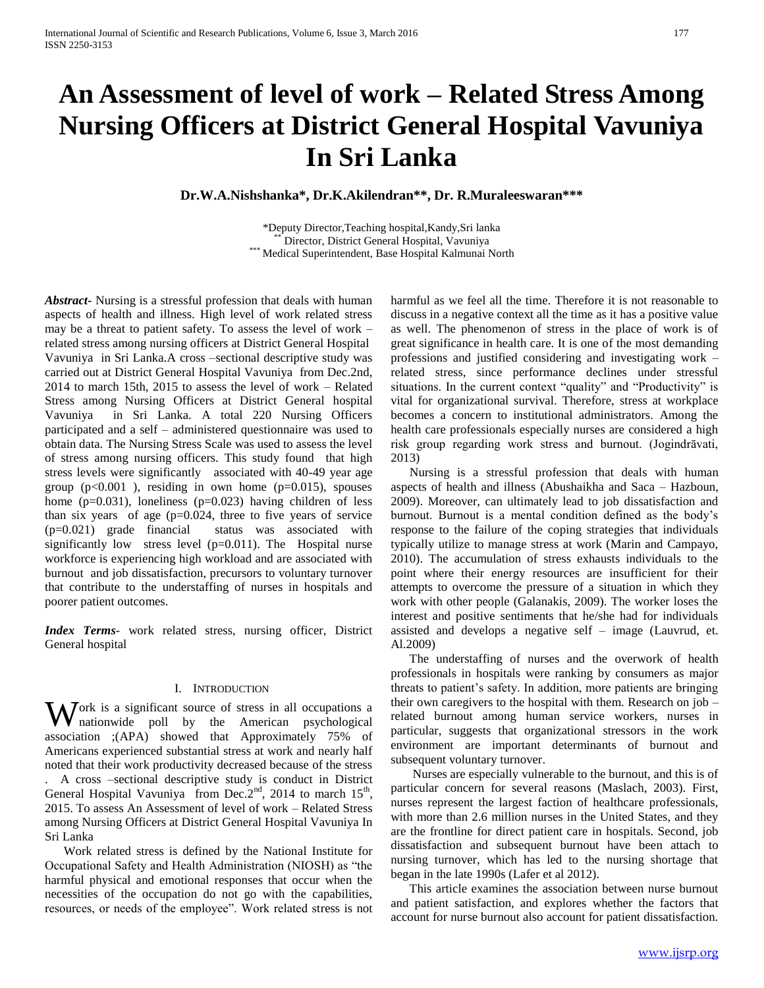# **An Assessment of level of work – Related Stress Among Nursing Officers at District General Hospital Vavuniya In Sri Lanka**

**Dr.W.A.Nishshanka\*, Dr.K.Akilendran\*\*, Dr. R.Muraleeswaran\*\*\***

\*Deputy Director,Teaching hospital,Kandy,Sri lanka Director, District General Hospital, Vavuniya \*\*\* Medical Superintendent, Base Hospital Kalmunai North

*Abstract***-** Nursing is a stressful profession that deals with human aspects of health and illness. High level of work related stress may be a threat to patient safety. To assess the level of work – related stress among nursing officers at District General Hospital Vavuniya in Sri Lanka.A cross –sectional descriptive study was carried out at District General Hospital Vavuniya from Dec.2nd, 2014 to march 15th, 2015 to assess the level of work – Related Stress among Nursing Officers at District General hospital Vavuniya in Sri Lanka. A total 220 Nursing Officers participated and a self – administered questionnaire was used to obtain data. The Nursing Stress Scale was used to assess the level of stress among nursing officers. This study found that high stress levels were significantly associated with 40-49 year age group  $(p<0.001)$ , residing in own home  $(p=0.015)$ , spouses home (p=0.031), loneliness (p=0.023) having children of less than six years of age  $(p=0.024)$ , three to five years of service (p=0.021) grade financial status was associated with significantly low stress level (p=0.011). The Hospital nurse workforce is experiencing high workload and are associated with burnout and job dissatisfaction, precursors to voluntary turnover that contribute to the understaffing of nurses in hospitals and poorer patient outcomes.

*Index Terms*- work related stress, nursing officer, District General hospital

#### I. INTRODUCTION

Work is a significant source of stress in all occupations a nationwide poll by the American psychological nationwide poll by the American psychological association ;(APA) showed that Approximately 75% of Americans experienced substantial stress at work and nearly half noted that their work productivity decreased because of the stress . A cross –sectional descriptive study is conduct in District General Hospital Vavuniya from Dec. $2<sup>nd</sup>$ , 2014 to march 15<sup>th</sup>, 2015. To assess An Assessment of level of work – Related Stress among Nursing Officers at District General Hospital Vavuniya In Sri Lanka

 Work related stress is defined by the National Institute for Occupational Safety and Health Administration (NIOSH) as "the harmful physical and emotional responses that occur when the necessities of the occupation do not go with the capabilities, resources, or needs of the employee". Work related stress is not harmful as we feel all the time. Therefore it is not reasonable to discuss in a negative context all the time as it has a positive value as well. The phenomenon of stress in the place of work is of great significance in health care. It is one of the most demanding professions and justified considering and investigating work – related stress, since performance declines under stressful situations. In the current context "quality" and "Productivity" is vital for organizational survival. Therefore, stress at workplace becomes a concern to institutional administrators. Among the health care professionals especially nurses are considered a high risk group regarding work stress and burnout. (Jogindrāvati, 2013)

 Nursing is a stressful profession that deals with human aspects of health and illness (Abushaikha and Saca – Hazboun, 2009). Moreover, can ultimately lead to job dissatisfaction and burnout. Burnout is a mental condition defined as the body's response to the failure of the coping strategies that individuals typically utilize to manage stress at work (Marin and Campayo, 2010). The accumulation of stress exhausts individuals to the point where their energy resources are insufficient for their attempts to overcome the pressure of a situation in which they work with other people (Galanakis, 2009). The worker loses the interest and positive sentiments that he/she had for individuals assisted and develops a negative self – image (Lauvrud, et. Al.2009)

 The understaffing of nurses and the overwork of health professionals in hospitals were ranking by consumers as major threats to patient's safety. In addition, more patients are bringing their own caregivers to the hospital with them. Research on job – related burnout among human service workers, nurses in particular, suggests that organizational stressors in the work environment are important determinants of burnout and subsequent voluntary turnover.

 Nurses are especially vulnerable to the burnout, and this is of particular concern for several reasons (Maslach, 2003). First, nurses represent the largest faction of healthcare professionals, with more than 2.6 million nurses in the United States, and they are the frontline for direct patient care in hospitals. Second, job dissatisfaction and subsequent burnout have been attach to nursing turnover, which has led to the nursing shortage that began in the late 1990s (Lafer et al 2012).

 This article examines the association between nurse burnout and patient satisfaction, and explores whether the factors that account for nurse burnout also account for patient dissatisfaction.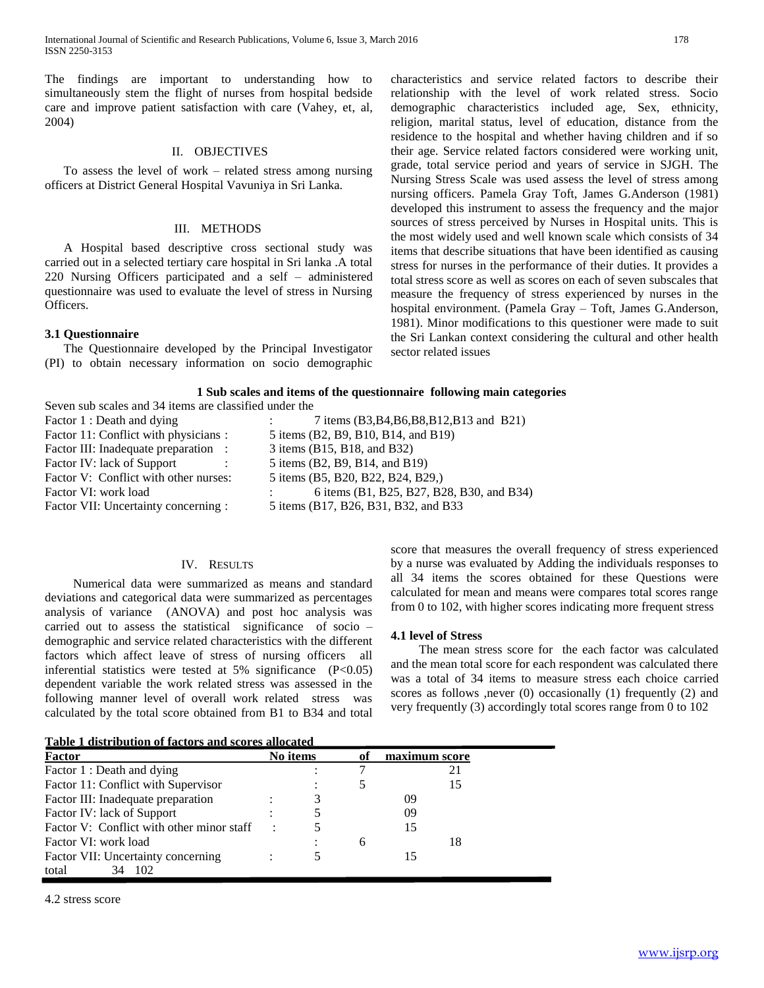International Journal of Scientific and Research Publications, Volume 6, Issue 3, March 2016 178 ISSN 2250-3153

The findings are important to understanding how to simultaneously stem the flight of nurses from hospital bedside care and improve patient satisfaction with care (Vahey, et, al, 2004)

#### II. OBJECTIVES

 To assess the level of work – related stress among nursing officers at District General Hospital Vavuniya in Sri Lanka.

### III. METHODS

 A Hospital based descriptive cross sectional study was carried out in a selected tertiary care hospital in Sri lanka .A total 220 Nursing Officers participated and a self – administered questionnaire was used to evaluate the level of stress in Nursing Officers.

# **3.1 Questionnaire**

 The Questionnaire developed by the Principal Investigator (PI) to obtain necessary information on socio demographic

characteristics and service related factors to describe their relationship with the level of work related stress. Socio demographic characteristics included age, Sex, ethnicity, religion, marital status, level of education, distance from the residence to the hospital and whether having children and if so their age. Service related factors considered were working unit, grade, total service period and years of service in SJGH. The Nursing Stress Scale was used assess the level of stress among nursing officers. Pamela Gray Toft, James G.Anderson (1981) developed this instrument to assess the frequency and the major sources of stress perceived by Nurses in Hospital units. This is the most widely used and well known scale which consists of 34 items that describe situations that have been identified as causing stress for nurses in the performance of their duties. It provides a total stress score as well as scores on each of seven subscales that measure the frequency of stress experienced by nurses in the hospital environment. (Pamela Gray – Toft, James G.Anderson, 1981). Minor modifications to this questioner were made to suit the Sri Lankan context considering the cultural and other health sector related issues

# **1 Sub scales and items of the questionnaire following main categories**

| Seven sub scales and 34 items are classified under the |                                           |  |  |  |  |
|--------------------------------------------------------|-------------------------------------------|--|--|--|--|
| Factor 1 : Death and dying                             | 7 items (B3,B4,B6,B8,B12,B13 and B21)     |  |  |  |  |
| Factor 11: Conflict with physicians :                  | 5 items (B2, B9, B10, B14, and B19)       |  |  |  |  |
| Factor III: Inadequate preparation :                   | 3 items (B15, B18, and B32)               |  |  |  |  |
| Factor IV: lack of Support                             | 5 items (B2, B9, B14, and B19)            |  |  |  |  |
| Factor V: Conflict with other nurses:                  | 5 items (B5, B20, B22, B24, B29,)         |  |  |  |  |
| Factor VI: work load                                   | 6 items (B1, B25, B27, B28, B30, and B34) |  |  |  |  |
| Factor VII: Uncertainty concerning :                   | 5 items (B17, B26, B31, B32, and B33      |  |  |  |  |

# IV. RESULTS

 Numerical data were summarized as means and standard deviations and categorical data were summarized as percentages analysis of variance (ANOVA) and post hoc analysis was carried out to assess the statistical significance of socio – demographic and service related characteristics with the different factors which affect leave of stress of nursing officers all inferential statistics were tested at 5% significance (P<0.05) dependent variable the work related stress was assessed in the following manner level of overall work related stress was calculated by the total score obtained from B1 to B34 and total

score that measures the overall frequency of stress experienced by a nurse was evaluated by Adding the individuals responses to all 34 items the scores obtained for these Questions were calculated for mean and means were compares total scores range from 0 to 102, with higher scores indicating more frequent stress

## **4.1 level of Stress**

 The mean stress score for the each factor was calculated and the mean total score for each respondent was calculated there was a total of 34 items to measure stress each choice carried scores as follows ,never (0) occasionally (1) frequently (2) and very frequently (3) accordingly total scores range from 0 to 102

| Table 1 distribution of factors and scores allocated |  |          |    |               |    |  |
|------------------------------------------------------|--|----------|----|---------------|----|--|
| Factor                                               |  | No items | оf | maximum score |    |  |
| Factor 1 : Death and dying                           |  |          |    |               | 21 |  |
| Factor 11: Conflict with Supervisor                  |  |          |    |               | 15 |  |
| Factor III: Inadequate preparation                   |  |          |    | 09            |    |  |
| Factor IV: lack of Support                           |  |          |    | 09            |    |  |
| Factor V: Conflict with other minor staff            |  |          |    | 15            |    |  |
| Factor VI: work load                                 |  |          | 6  |               | 18 |  |
| Factor VII: Uncertainty concerning                   |  |          |    |               |    |  |
| 102<br>total<br>34                                   |  |          |    |               |    |  |

4.2 stress score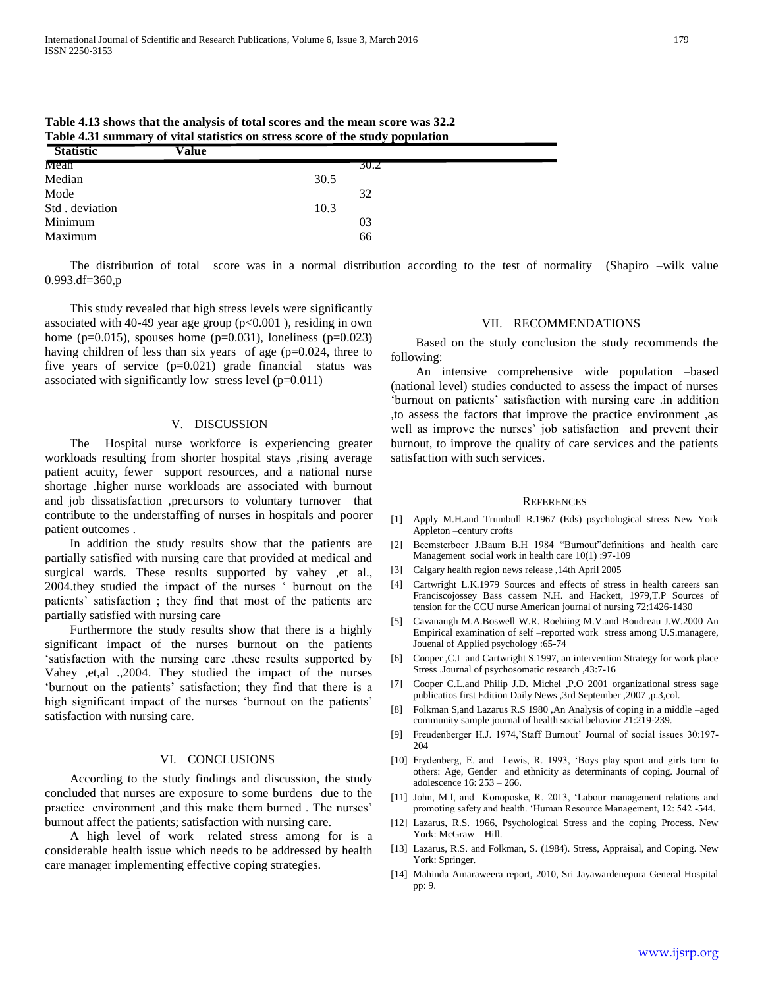| Table 4.31 summary of vital statistics on stress score of the study population |       |      |  |  |  |  |
|--------------------------------------------------------------------------------|-------|------|--|--|--|--|
| <b>Statistic</b>                                                               | Value |      |  |  |  |  |
| Mean                                                                           |       | 30.2 |  |  |  |  |
| Median                                                                         |       | 30.5 |  |  |  |  |
| Mode                                                                           |       | 32   |  |  |  |  |
| Std. deviation                                                                 |       | 10.3 |  |  |  |  |
| Minimum                                                                        |       | 03   |  |  |  |  |
| Maximum                                                                        |       | 66   |  |  |  |  |
|                                                                                |       |      |  |  |  |  |

**Table 4.13 shows that the analysis of total scores and the mean score was 32.2 Table 4.31 summary of vital statistics on stress score of the study population** 

 The distribution of total score was in a normal distribution according to the test of normality (Shapiro –wilk value 0.993.df=360,p

 This study revealed that high stress levels were significantly associated with 40-49 year age group  $(p<0.001)$ , residing in own home ( $p=0.015$ ), spouses home ( $p=0.031$ ), loneliness ( $p=0.023$ ) having children of less than six years of age (p=0.024, three to five years of service (p=0.021) grade financial status was associated with significantly low stress level  $(p=0.011)$ 

#### V. DISCUSSION

 The Hospital nurse workforce is experiencing greater workloads resulting from shorter hospital stays ,rising average patient acuity, fewer support resources, and a national nurse shortage .higher nurse workloads are associated with burnout and job dissatisfaction ,precursors to voluntary turnover that contribute to the understaffing of nurses in hospitals and poorer patient outcomes .

 In addition the study results show that the patients are partially satisfied with nursing care that provided at medical and surgical wards. These results supported by vahey ,et al., 2004.they studied the impact of the nurses ' burnout on the patients' satisfaction ; they find that most of the patients are partially satisfied with nursing care

 Furthermore the study results show that there is a highly significant impact of the nurses burnout on the patients 'satisfaction with the nursing care .these results supported by Vahey ,et,al .,2004. They studied the impact of the nurses 'burnout on the patients' satisfaction; they find that there is a high significant impact of the nurses 'burnout on the patients' satisfaction with nursing care.

# VI. CONCLUSIONS

 According to the study findings and discussion, the study concluded that nurses are exposure to some burdens due to the practice environment ,and this make them burned . The nurses' burnout affect the patients; satisfaction with nursing care.

 A high level of work –related stress among for is a considerable health issue which needs to be addressed by health care manager implementing effective coping strategies.

## VII. RECOMMENDATIONS

 Based on the study conclusion the study recommends the following:

 An intensive comprehensive wide population –based (national level) studies conducted to assess the impact of nurses 'burnout on patients' satisfaction with nursing care .in addition ,to assess the factors that improve the practice environment ,as well as improve the nurses' job satisfaction and prevent their burnout, to improve the quality of care services and the patients satisfaction with such services.

#### **REFERENCES**

- [1] Apply M.H.and Trumbull R.1967 (Eds) psychological stress New York Appleton –century crofts
- [2] Beemsterboer J.Baum B.H 1984 "Burnout"definitions and health care Management social work in health care 10(1) :97-109
- [3] Calgary health region news release ,14th April 2005
- [4] Cartwright L.K.1979 Sources and effects of stress in health careers san Franciscojossey Bass cassem N.H. and Hackett, 1979,T.P Sources of tension for the CCU nurse American journal of nursing 72:1426-1430
- [5] Cavanaugh M.A.Boswell W.R. Roehiing M.V.and Boudreau J.W.2000 An Empirical examination of self –reported work stress among U.S.managere, Jouenal of Applied psychology :65-74
- [6] Cooper ,C.L and Cartwright S.1997, an intervention Strategy for work place Stress .Journal of psychosomatic research ,43:7-16
- [7] Cooper C.L.and Philip J.D. Michel ,P.O 2001 organizational stress sage publicatios first Edition Daily News ,3rd September ,2007 ,p.3,col.
- [8] Folkman S,and Lazarus R.S 1980 ,An Analysis of coping in a middle –aged community sample journal of health social behavior 21:219-239.
- [9] Freudenberger H.J. 1974,'Staff Burnout' Journal of social issues 30:197- 204
- [10] Frydenberg, E. and Lewis, R. 1993, 'Boys play sport and girls turn to others: Age, Gender and ethnicity as determinants of coping. Journal of adolescence 16: 253 – 266.
- [11] John, M.I, and Konoposke, R. 2013, 'Labour management relations and promoting safety and health. 'Human Resource Management, 12: 542 -544.
- [12] Lazarus, R.S. 1966, Psychological Stress and the coping Process. New York: McGraw – Hill.
- [13] Lazarus, R.S. and Folkman, S. (1984). Stress, Appraisal, and Coping. New York: Springer.
- [14] Mahinda Amaraweera report, 2010, Sri Jayawardenepura General Hospital pp: 9.